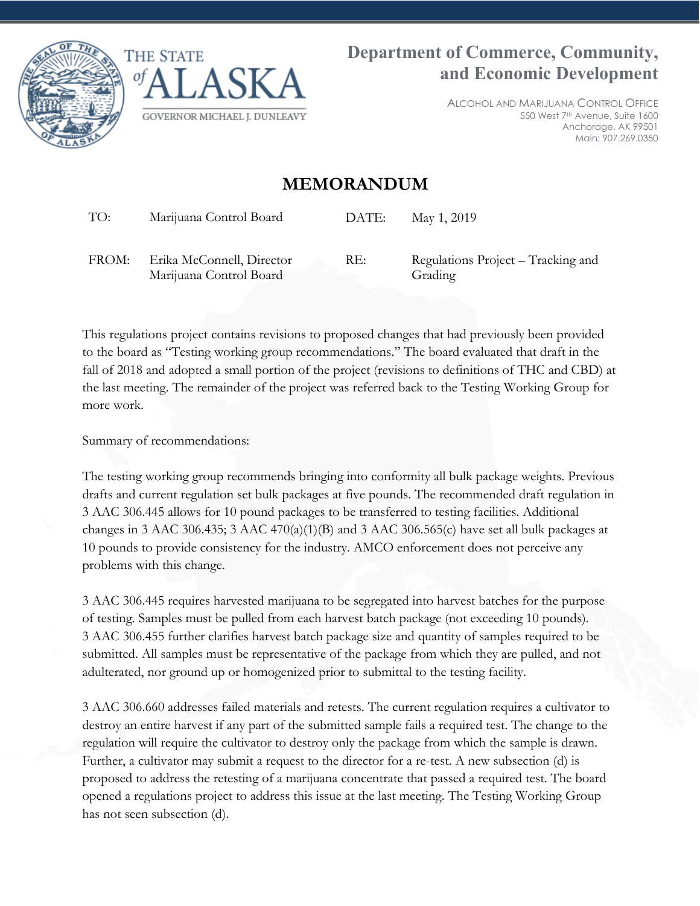



ALCOHOL AND MARIJUANA CONTROL OFFICE 550 West 7th Avenue, Suite 1600 Anchorage, AK 99501 Main: 907.269.0350

# **MEMORANDUM**

TO: Marijuana Control Board DATE: May 1, 2019

FROM: Erika McConnell, Director Marijuana Control Board

RE: Regulations Project – Tracking and Grading

This regulations project contains revisions to proposed changes that had previously been provided to the board as "Testing working group recommendations." The board evaluated that draft in the fall of 2018 and adopted a small portion of the project (revisions to definitions of THC and CBD) at the last meeting. The remainder of the project was referred back to the Testing Working Group for more work.

Summary of recommendations:

The testing working group recommends bringing into conformity all bulk package weights. Previous drafts and current regulation set bulk packages at five pounds. The recommended draft regulation in 3 AAC 306.445 allows for 10 pound packages to be transferred to testing facilities. Additional changes in 3 AAC 306.435; 3 AAC 470(a)(1)(B) and 3 AAC 306.565(c) have set all bulk packages at 10 pounds to provide consistency for the industry. AMCO enforcement does not perceive any problems with this change.

3 AAC 306.445 requires harvested marijuana to be segregated into harvest batches for the purpose of testing. Samples must be pulled from each harvest batch package (not exceeding 10 pounds). 3 AAC 306.455 further clarifies harvest batch package size and quantity of samples required to be submitted. All samples must be representative of the package from which they are pulled, and not adulterated, nor ground up or homogenized prior to submittal to the testing facility.

3 AAC 306.660 addresses failed materials and retests. The current regulation requires a cultivator to destroy an entire harvest if any part of the submitted sample fails a required test. The change to the regulation will require the cultivator to destroy only the package from which the sample is drawn. Further, a cultivator may submit a request to the director for a re-test. A new subsection (d) is proposed to address the retesting of a marijuana concentrate that passed a required test. The board opened a regulations project to address this issue at the last meeting. The Testing Working Group has not seen subsection (d).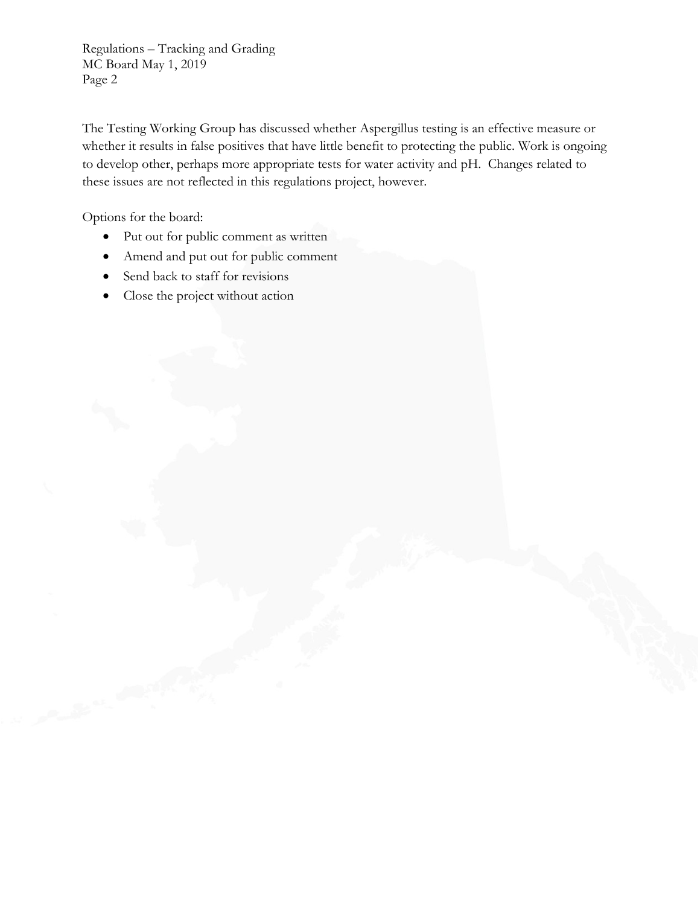Regulations – Tracking and Grading MC Board May 1, 2019 Page 2

The Testing Working Group has discussed whether Aspergillus testing is an effective measure or whether it results in false positives that have little benefit to protecting the public. Work is ongoing to develop other, perhaps more appropriate tests for water activity and pH. Changes related to these issues are not reflected in this regulations project, however.

Options for the board:

- Put out for public comment as written
- Amend and put out for public comment
- Send back to staff for revisions
- Close the project without action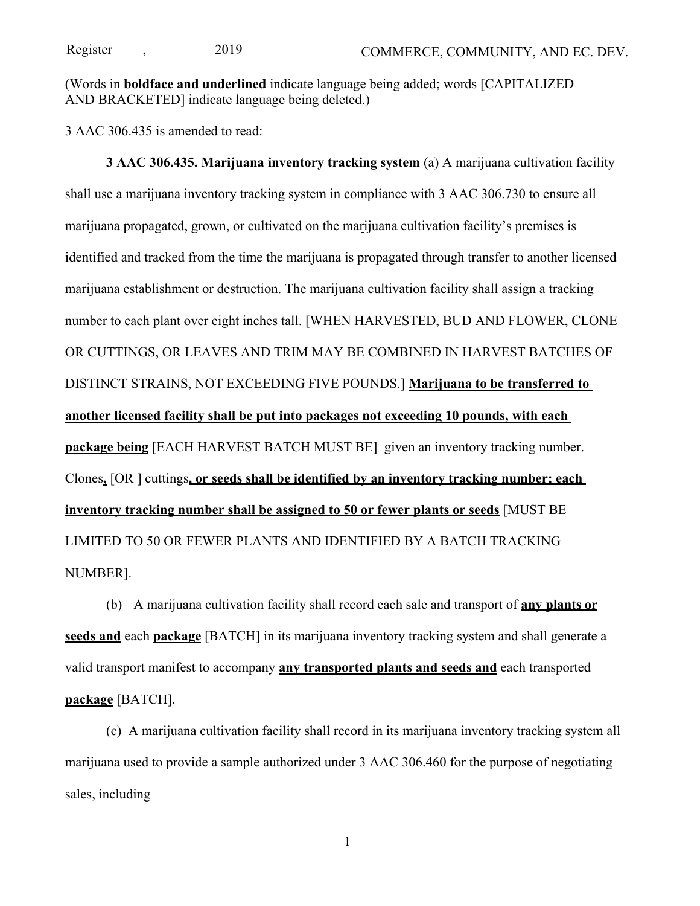(Words in **boldface and underlined** indicate language being added; words [CAPITALIZED AND BRACKETED] indicate language being deleted.)

3 AAC 306.435 is amended to read:

**3 AAC 306.435. Marijuana inventory tracking system** (a) A marijuana cultivation facility shall use a marijuana inventory tracking system in compliance with 3 AAC 306.730 to ensure all marijuana propagated, grown, or cultivated on the marijuana cultivation facility's premises is identified and tracked from the time the marijuana is propagated through transfer to another licensed marijuana establishment or destruction. The marijuana cultivation facility shall assign a tracking number to each plant over eight inches tall. [WHEN HARVESTED, BUD AND FLOWER, CLONE OR CUTTINGS, OR LEAVES AND TRIM MAY BE COMBINED IN HARVEST BATCHES OF DISTINCT STRAINS, NOT EXCEEDING FIVE POUNDS.] **Marijuana to be transferred to another licensed facility shall be put into packages not exceeding 10 pounds, with each package being** [EACH HARVEST BATCH MUST BE] given an inventory tracking number. Clones**,** [OR ] cuttings**, or seeds shall be identified by an inventory tracking number; each inventory tracking number shall be assigned to 50 or fewer plants or seeds** [MUST BE LIMITED TO 50 OR FEWER PLANTS AND IDENTIFIED BY A BATCH TRACKING NUMBER].

(b) A marijuana cultivation facility shall record each sale and transport of **any plants or seeds and** each **package** [BATCH] in its marijuana inventory tracking system and shall generate a valid transport manifest to accompany **any transported plants and seeds and** each transported **package** [BATCH].

(c) A marijuana cultivation facility shall record in its marijuana inventory tracking system all marijuana used to provide a sample authorized under 3 AAC 306.460 for the purpose of negotiating sales, including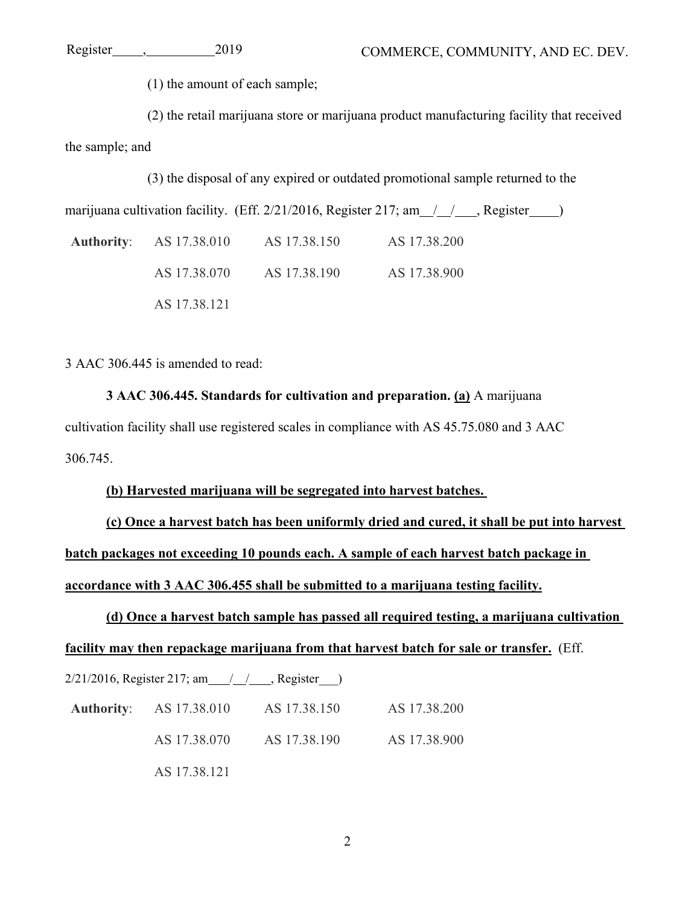(1) the amount of each sample;

(2) the retail marijuana store or marijuana product manufacturing facility that received the sample; and

(3) the disposal of any expired or outdated promotional sample returned to the

marijuana cultivation facility. (Eff.  $2/21/2016$ , Register  $217$ ; am  $\frac{\ }{\ }$ , Register )

**Authority**: AS 17.38.010 AS 17.38.150 AS 17.38.200 AS 17.38.070 AS 17.38.190 AS 17.38.900 AS 17.38.121

3 AAC 306.445 is amended to read:

**3 AAC 306.445. Standards for cultivation and preparation. (a)** A marijuana cultivation facility shall use registered scales in compliance with AS 45.75.080 and 3 AAC 306.745.

## **(b) Harvested marijuana will be segregated into harvest batches.**

**(c) Once a harvest batch has been uniformly dried and cured, it shall be put into harvest batch packages not exceeding 10 pounds each. A sample of each harvest batch package in accordance with 3 AAC 306.455 shall be submitted to a marijuana testing facility.**

**(d) Once a harvest batch sample has passed all required testing, a marijuana cultivation facility may then repackage marijuana from that harvest batch for sale or transfer.** (Eff.

 $2/21/2016$ , Register 217; am  $\frac{1}{1}$ , Register  $\frac{1}{1}$ 

**Authority**: AS 17.38.010 AS 17.38.150 AS 17.38.200

AS 17.38.070 AS 17.38.190 AS 17.38.900

AS 17.38.121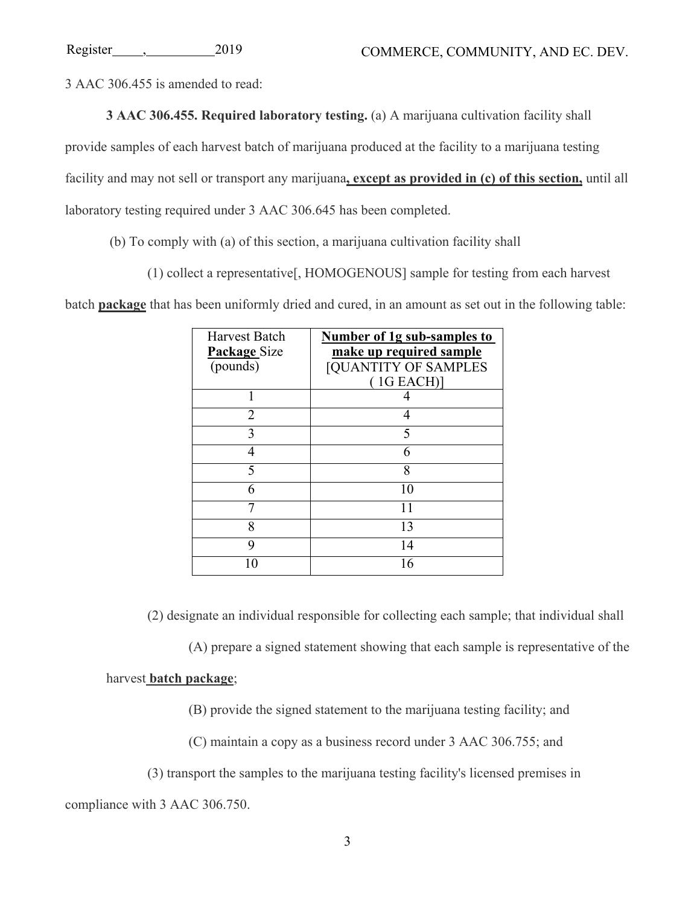3 AAC 306.455 is amended to read:

**3 AAC 306.455. Required laboratory testing.** (a) A marijuana cultivation facility shall

provide samples of each harvest batch of marijuana produced at the facility to a marijuana testing

facility and may not sell or transport any marijuana**, except as provided in (c) of this section,** until all

laboratory testing required under 3 AAC 306.645 has been completed.

(b) To comply with (a) of this section, a marijuana cultivation facility shall

(1) collect a representative[, HOMOGENOUS] sample for testing from each harvest

batch **package** that has been uniformly dried and cured, in an amount as set out in the following table:

| <b>Harvest Batch</b><br>Package Size<br>(pounds) | Number of 1g sub-samples to<br>make up required sample<br><b>[QUANTITY OF SAMPLES</b><br>(1G EACH) |
|--------------------------------------------------|----------------------------------------------------------------------------------------------------|
|                                                  |                                                                                                    |
| 2                                                |                                                                                                    |
| 3                                                | 5                                                                                                  |
| 4                                                | 6                                                                                                  |
| 5                                                | 8                                                                                                  |
| 6                                                | 10                                                                                                 |
|                                                  |                                                                                                    |
| 8                                                | 13                                                                                                 |
| 9                                                | 14                                                                                                 |
|                                                  | 16                                                                                                 |

(2) designate an individual responsible for collecting each sample; that individual shall

(A) prepare a signed statement showing that each sample is representative of the

## harvest **batch package**;

(B) provide the signed statement to the marijuana testing facility; and

(C) maintain a copy as a business record under 3 AAC 306.755; and

(3) transport the samples to the marijuana testing facility's licensed premises in

compliance with 3 AAC 306.750.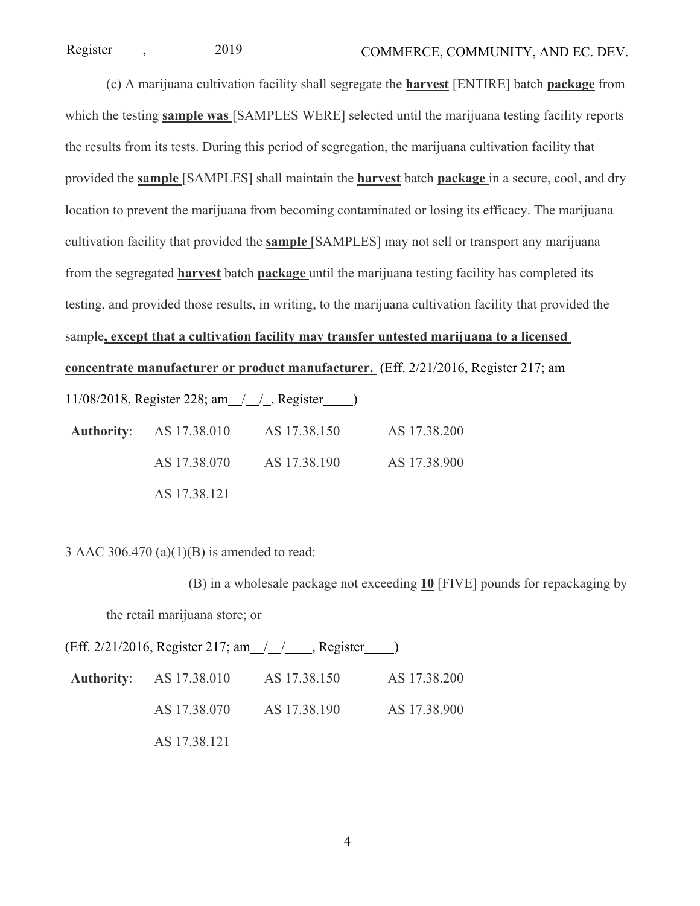(c) A marijuana cultivation facility shall segregate the **harvest** [ENTIRE] batch **package** from which the testing **sample was** [SAMPLES WERE] selected until the marijuana testing facility reports the results from its tests. During this period of segregation, the marijuana cultivation facility that provided the **sample** [SAMPLES] shall maintain the **harvest** batch **package** in a secure, cool, and dry location to prevent the marijuana from becoming contaminated or losing its efficacy. The marijuana cultivation facility that provided the **sample** [SAMPLES] may not sell or transport any marijuana from the segregated **harvest** batch **package** until the marijuana testing facility has completed its testing, and provided those results, in writing, to the marijuana cultivation facility that provided the sample**, except that a cultivation facility may transfer untested marijuana to a licensed concentrate manufacturer or product manufacturer.** (Eff. 2/21/2016, Register 217; am 11/08/2018, Register 228; am / / , Register )

**Authority**: AS 17.38.010 AS 17.38.150 AS 17.38.200 AS 17.38.070 AS 17.38.190 AS 17.38.900 AS 17.38.121

3 AAC 306.470 (a) $(1)(B)$  is amended to read:

(B) in a wholesale package not exceeding **10** [FIVE] pounds for repackaging by the retail marijuana store; or

|              | (Eff. 2/21/2016, Register 217; am $\_\_\_\_\_\_\$ Register $\_\_\)$ |              |
|--------------|---------------------------------------------------------------------|--------------|
|              | <b>Authority:</b> AS 17.38.010 AS 17.38.150                         | AS 17.38.200 |
| AS 17.38.070 | AS 17.38.190                                                        | AS 17.38.900 |
| AS 17.38.121 |                                                                     |              |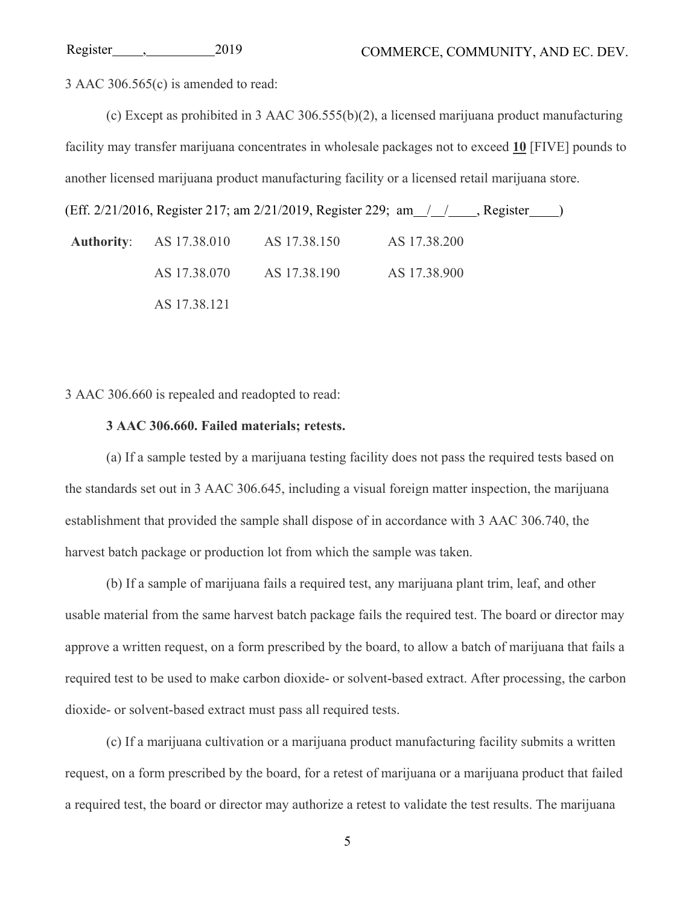3 AAC 306.565(c) is amended to read:

(c) Except as prohibited in 3 AAC 306.555(b)(2), a licensed marijuana product manufacturing facility may transfer marijuana concentrates in wholesale packages not to exceed **10** [FIVE] pounds to another licensed marijuana product manufacturing facility or a licensed retail marijuana store.

(Eff. 2/21/2016, Register 217; am 2/21/2019, Register 229; am / / , Register )

**Authority**: AS 17.38.010 AS 17.38.150 AS 17.38.200 AS 17.38.070 AS 17.38.190 AS 17.38.900 AS 17.38.121

3 AAC 306.660 is repealed and readopted to read:

### **3 AAC 306.660. Failed materials; retests.**

(a) If a sample tested by a marijuana testing facility does not pass the required tests based on the standards set out in 3 AAC 306.645, including a visual foreign matter inspection, the marijuana establishment that provided the sample shall dispose of in accordance with 3 AAC 306.740, the harvest batch package or production lot from which the sample was taken.

(b) If a sample of marijuana fails a required test, any marijuana plant trim, leaf, and other usable material from the same harvest batch package fails the required test. The board or director may approve a written request, on a form prescribed by the board, to allow a batch of marijuana that fails a required test to be used to make carbon dioxide- or solvent-based extract. After processing, the carbon dioxide- or solvent-based extract must pass all required tests.

(c) If a marijuana cultivation or a marijuana product manufacturing facility submits a written request, on a form prescribed by the board, for a retest of marijuana or a marijuana product that failed a required test, the board or director may authorize a retest to validate the test results. The marijuana